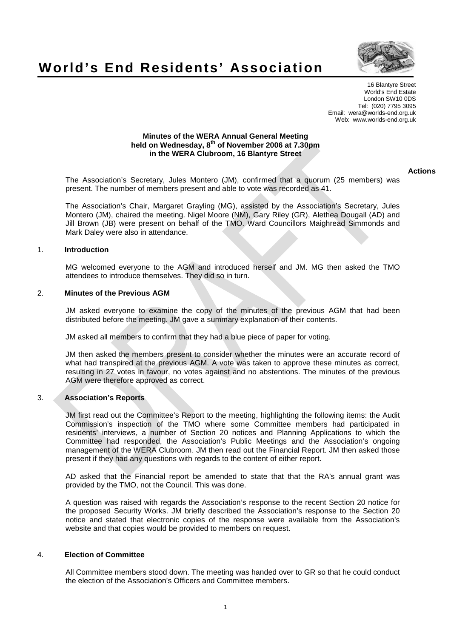

**Actions** 

# **World's End Residents' Association**

16 Blantyre Street World's End Estate London SW10 0DS Tel: (020) 7795 3095 Email: wera@worlds-end.org.uk Web: www.worlds-end.org.uk

#### **Minutes of the WERA Annual General Meeting held on Wednesday, 8th of November 2006 at 7.30pm in the WERA Clubroom, 16 Blantyre Street**

The Association's Secretary, Jules Montero (JM), confirmed that a quorum (25 members) was present. The number of members present and able to vote was recorded as 41.

The Association's Chair, Margaret Grayling (MG), assisted by the Association's Secretary, Jules Montero (JM), chaired the meeting. Nigel Moore (NM), Gary Riley (GR), Alethea Dougall (AD) and Jill Brown (JB) were present on behalf of the TMO. Ward Councillors Maighread Simmonds and Mark Daley were also in attendance.

# 1. **Introduction**

MG welcomed everyone to the AGM and introduced herself and JM. MG then asked the TMO attendees to introduce themselves. They did so in turn.

# 2. **Minutes of the Previous AGM**

JM asked everyone to examine the copy of the minutes of the previous AGM that had been distributed before the meeting. JM gave a summary explanation of their contents.

JM asked all members to confirm that they had a blue piece of paper for voting.

JM then asked the members present to consider whether the minutes were an accurate record of what had transpired at the previous AGM. A vote was taken to approve these minutes as correct, resulting in 27 votes in favour, no votes against and no abstentions. The minutes of the previous AGM were therefore approved as correct.

# 3. **Association's Reports**

JM first read out the Committee's Report to the meeting, highlighting the following items: the Audit Commission's inspection of the TMO where some Committee members had participated in residents' interviews, a number of Section 20 notices and Planning Applications to which the Committee had responded, the Association's Public Meetings and the Association's ongoing management of the WERA Clubroom. JM then read out the Financial Report. JM then asked those present if they had any questions with regards to the content of either report.

AD asked that the Financial report be amended to state that that the RA's annual grant was provided by the TMO, not the Council. This was done.

A question was raised with regards the Association's response to the recent Section 20 notice for the proposed Security Works. JM briefly described the Association's response to the Section 20 notice and stated that electronic copies of the response were available from the Association's website and that copies would be provided to members on request.

#### 4. **Election of Committee**

All Committee members stood down. The meeting was handed over to GR so that he could conduct the election of the Association's Officers and Committee members.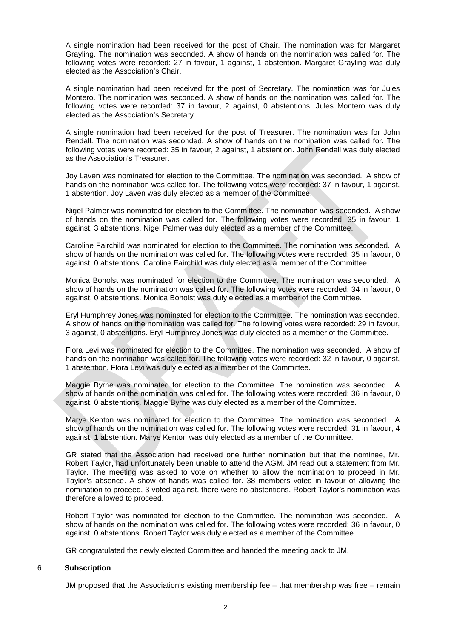A single nomination had been received for the post of Chair. The nomination was for Margaret Grayling. The nomination was seconded. A show of hands on the nomination was called for. The following votes were recorded: 27 in favour, 1 against, 1 abstention. Margaret Grayling was duly elected as the Association's Chair.

A single nomination had been received for the post of Secretary. The nomination was for Jules Montero. The nomination was seconded. A show of hands on the nomination was called for. The following votes were recorded: 37 in favour, 2 against, 0 abstentions. Jules Montero was duly elected as the Association's Secretary.

A single nomination had been received for the post of Treasurer. The nomination was for John Rendall. The nomination was seconded. A show of hands on the nomination was called for. The following votes were recorded: 35 in favour, 2 against, 1 abstention. John Rendall was duly elected as the Association's Treasurer.

Joy Laven was nominated for election to the Committee. The nomination was seconded. A show of hands on the nomination was called for. The following votes were recorded: 37 in favour, 1 against, 1 abstention. Joy Laven was duly elected as a member of the Committee.

Nigel Palmer was nominated for election to the Committee. The nomination was seconded. A show of hands on the nomination was called for. The following votes were recorded: 35 in favour, 1 against, 3 abstentions. Nigel Palmer was duly elected as a member of the Committee.

Caroline Fairchild was nominated for election to the Committee. The nomination was seconded. A show of hands on the nomination was called for. The following votes were recorded: 35 in favour, 0 against, 0 abstentions. Caroline Fairchild was duly elected as a member of the Committee.

Monica Boholst was nominated for election to the Committee. The nomination was seconded. A show of hands on the nomination was called for. The following votes were recorded: 34 in favour, 0 against, 0 abstentions. Monica Boholst was duly elected as a member of the Committee.

Eryl Humphrey Jones was nominated for election to the Committee. The nomination was seconded. A show of hands on the nomination was called for. The following votes were recorded: 29 in favour, 3 against, 0 abstentions. Eryl Humphrey Jones was duly elected as a member of the Committee.

Flora Levi was nominated for election to the Committee. The nomination was seconded. A show of hands on the nomination was called for. The following votes were recorded: 32 in favour, 0 against, 1 abstention. Flora Levi was duly elected as a member of the Committee.

Maggie Byrne was nominated for election to the Committee. The nomination was seconded. A show of hands on the nomination was called for. The following votes were recorded: 36 in favour, 0 against, 0 abstentions. Maggie Byrne was duly elected as a member of the Committee.

Marye Kenton was nominated for election to the Committee. The nomination was seconded. A show of hands on the nomination was called for. The following votes were recorded: 31 in favour, 4 against, 1 abstention. Marye Kenton was duly elected as a member of the Committee.

GR stated that the Association had received one further nomination but that the nominee, Mr. Robert Taylor, had unfortunately been unable to attend the AGM. JM read out a statement from Mr. Taylor. The meeting was asked to vote on whether to allow the nomination to proceed in Mr. Taylor's absence. A show of hands was called for. 38 members voted in favour of allowing the nomination to proceed, 3 voted against, there were no abstentions. Robert Taylor's nomination was therefore allowed to proceed.

Robert Taylor was nominated for election to the Committee. The nomination was seconded. A show of hands on the nomination was called for. The following votes were recorded: 36 in favour, 0 against, 0 abstentions. Robert Taylor was duly elected as a member of the Committee.

GR congratulated the newly elected Committee and handed the meeting back to JM.

#### 6. **Subscription**

JM proposed that the Association's existing membership fee – that membership was free – remain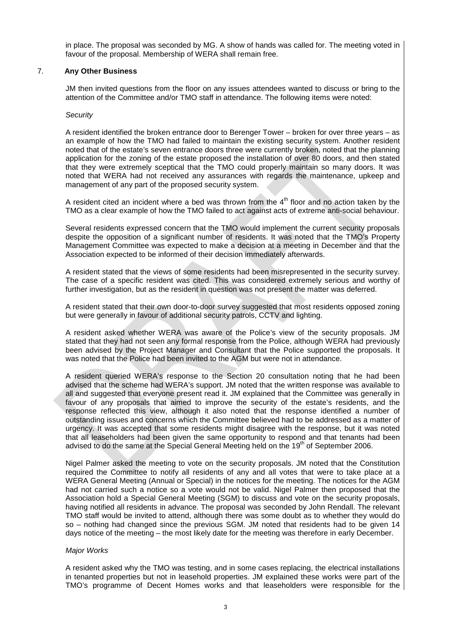in place. The proposal was seconded by MG. A show of hands was called for. The meeting voted in favour of the proposal. Membership of WERA shall remain free.

# 7. **Any Other Business**

JM then invited questions from the floor on any issues attendees wanted to discuss or bring to the attention of the Committee and/or TMO staff in attendance. The following items were noted:

#### **Security**

A resident identified the broken entrance door to Berenger Tower – broken for over three years – as an example of how the TMO had failed to maintain the existing security system. Another resident noted that of the estate's seven entrance doors three were currently broken, noted that the planning application for the zoning of the estate proposed the installation of over 80 doors, and then stated that they were extremely sceptical that the TMO could properly maintain so many doors. It was noted that WERA had not received any assurances with regards the maintenance, upkeep and management of any part of the proposed security system.

A resident cited an incident where a bed was thrown from the  $4<sup>th</sup>$  floor and no action taken by the TMO as a clear example of how the TMO failed to act against acts of extreme anti-social behaviour.

Several residents expressed concern that the TMO would implement the current security proposals despite the opposition of a significant number of residents. It was noted that the TMO's Property Management Committee was expected to make a decision at a meeting in December and that the Association expected to be informed of their decision immediately afterwards.

A resident stated that the views of some residents had been misrepresented in the security survey. The case of a specific resident was cited. This was considered extremely serious and worthy of further investigation, but as the resident in question was not present the matter was deferred.

A resident stated that their own door-to-door survey suggested that most residents opposed zoning but were generally in favour of additional security patrols, CCTV and lighting.

A resident asked whether WERA was aware of the Police's view of the security proposals. JM stated that they had not seen any formal response from the Police, although WERA had previously been advised by the Project Manager and Consultant that the Police supported the proposals. It was noted that the Police had been invited to the AGM but were not in attendance.

A resident queried WERA's response to the Section 20 consultation noting that he had been advised that the scheme had WERA's support. JM noted that the written response was available to all and suggested that everyone present read it. JM explained that the Committee was generally in favour of any proposals that aimed to improve the security of the estate's residents, and the response reflected this view, although it also noted that the response identified a number of outstanding issues and concerns which the Committee believed had to be addressed as a matter of urgency. It was accepted that some residents might disagree with the response, but it was noted that all leaseholders had been given the same opportunity to respond and that tenants had been advised to do the same at the Special General Meeting held on the 19<sup>th</sup> of September 2006.

Nigel Palmer asked the meeting to vote on the security proposals. JM noted that the Constitution required the Committee to notify all residents of any and all votes that were to take place at a WERA General Meeting (Annual or Special) in the notices for the meeting. The notices for the AGM had not carried such a notice so a vote would not be valid. Nigel Palmer then proposed that the Association hold a Special General Meeting (SGM) to discuss and vote on the security proposals, having notified all residents in advance. The proposal was seconded by John Rendall. The relevant TMO staff would be invited to attend, although there was some doubt as to whether they would do so – nothing had changed since the previous SGM. JM noted that residents had to be given 14 days notice of the meeting – the most likely date for the meeting was therefore in early December.

#### Major Works

A resident asked why the TMO was testing, and in some cases replacing, the electrical installations in tenanted properties but not in leasehold properties. JM explained these works were part of the TMO's programme of Decent Homes works and that leaseholders were responsible for the